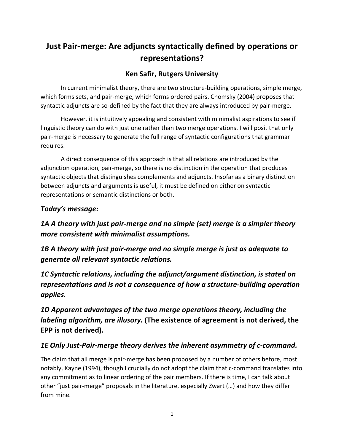# **Just Pair-merge: Are adjuncts syntactically defined by operations or representations?**

# **Ken Safir, Rutgers University**

In current minimalist theory, there are two structure-building operations, simple merge, which forms sets, and pair-merge, which forms ordered pairs. Chomsky (2004) proposes that syntactic adjuncts are so-defined by the fact that they are always introduced by pair-merge.

However, it is intuitively appealing and consistent with minimalist aspirations to see if linguistic theory can do with just one rather than two merge operations. I will posit that only pair-merge is necessary to generate the full range of syntactic configurations that grammar requires.

A direct consequence of this approach is that all relations are introduced by the adjunction operation, pair-merge, so there is no distinction in the operation that produces syntactic objects that distinguishes complements and adjuncts. Insofar as a binary distinction between adjuncts and arguments is useful, it must be defined on either on syntactic representations or semantic distinctions or both.

# *Today's message:*

*1A A theory with just pair-merge and no simple (set) merge is a simpler theory more consistent with minimalist assumptions.*

*1B A theory with just pair-merge and no simple merge is just as adequate to generate all relevant syntactic relations.*

*1C Syntactic relations, including the adjunct/argument distinction, is stated on representations and is not a consequence of how a structure-building operation applies.* 

*1D Apparent advantages of the two merge operations theory, including the labeling algorithm, are illusory.* **(The existence of agreement is not derived, the EPP is not derived).**

# *1E Only Just-Pair-merge theory derives the inherent asymmetry of c-command.*

The claim that all merge is pair-merge has been proposed by a number of others before, most notably, Kayne (1994), though I crucially do not adopt the claim that c-command translates into any commitment as to linear ordering of the pair members. If there is time, I can talk about other "just pair-merge" proposals in the literature, especially Zwart (…) and how they differ from mine.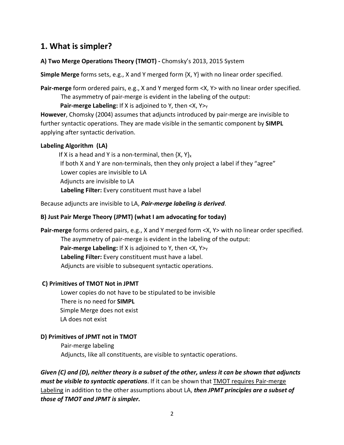# **1. What is simpler?**

### **A) Two Merge Operations Theory (TMOT) -** Chomsky's 2013, 2015 System

**Simple Merge** forms sets, e.g., X and Y merged form {X, Y} with no linear order specified.

**Pair-merge** form ordered pairs, e.g., X and Y merged form <X, Y> with no linear order specified.

The asymmetry of pair-merge is evident in the labeling of the output:

**Pair-merge Labeling:** If X is adjoined to Y, then <X, Y><sub>Y</sub>

**However**, Chomsky (2004) assumes that adjuncts introduced by pair-merge are invisible to further syntactic operations. They are made visible in the semantic component by **SIMPL**  applying after syntactic derivation.

### **Labeling Algorithm (LA)**

If X is a head and Y is a non-terminal, then  ${X, Y}^{}_{x}$  If both X and Y are non-terminals, then they only project a label if they "agree" Lower copies are invisible to LA Adjuncts are invisible to LA **Labeling Filter:** Every constituent must have a label

Because adjuncts are invisible to LA, *Pair-merge labeling is derived*.

### **B) Just Pair Merge Theory (JPMT) (what I am advocating for today)**

**Pair-merge** forms ordered pairs, e.g., X and Y merged form <X, Y> with no linear order specified.

The asymmetry of pair-merge is evident in the labeling of the output:

Pair-merge Labeling: If X is adjoined to Y, then <X, Y><sub>Y</sub>

**Labeling Filter:** Every constituent must have a label.

Adjuncts are visible to subsequent syntactic operations.

## **C) Primitives of TMOT Not in JPMT**

Lower copies do not have to be stipulated to be invisible There is no need for **SIMPL**  Simple Merge does not exist LA does not exist

## **D) Primitives of JPMT not in TMOT**

Pair-merge labeling Adjuncts, like all constituents, are visible to syntactic operations.

*Given (C) and (D), neither theory is a subset of the other, unless it can be shown that adjuncts must be visible to syntactic operations*. If it can be shown that TMOT requires Pair-merge Labeling in addition to the other assumptions about LA, *then JPMT principles are a subset of those of TMOT and JPMT is simpler.*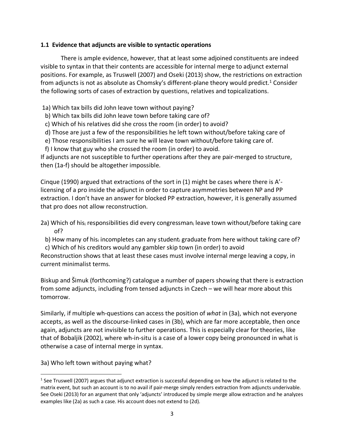#### **1.1 Evidence that adjuncts are visible to syntactic operations**

There is ample evidence, however, that at least some adjoined constituents are indeed visible to syntax in that their contents are accessible for internal merge to adjunct external positions. For example, as Truswell (2007) and Oseki (2013) show, the restrictions on extraction from adjuncts is not as absolute as Chomsky's different-plane theory would predict.<sup>1</sup> Consider the following sorts of cases of extraction by questions, relatives and topicalizations.

- 1a) Which tax bills did John leave town without paying?
- b) Which tax bills did John leave town before taking care of?
- c) Which of his relatives did she cross the room (in order) to avoid?
- d) Those are just a few of the responsibilities he left town without/before taking care of
- e) Those responsibilities I am sure he will leave town without/before taking care of.
- f) I know that guy who she crossed the room (in order) to avoid.

If adjuncts are not susceptible to further operations after they are pair-merged to structure, then (1a-f) should be altogether impossible.

Cinque (1990) argued that extractions of the sort in (1) might be cases where there is A' licensing of a pro inside the adjunct in order to capture asymmetries between NP and PP extraction. I don't have an answer for blocked PP extraction, however, it is generally assumed that pro does not allow reconstruction.

2a) Which of his<sub>i</sub> responsibilities did every congressman<sub>i</sub> leave town without/before taking care of?

b) How many of his<sub>i</sub> incompletes can any student<sub>i</sub> graduate from here without taking care of?

 c) Which of his creditors would any gambler skip town (in order) to avoid Reconstruction shows that at least these cases must involve internal merge leaving a copy, in current minimalist terms.

Biskup and Šimuk (forthcoming?) catalogue a number of papers showing that there is extraction from some adjuncts, including from tensed adjuncts in Czech – we will hear more about this tomorrow.

Similarly, if multiple wh-questions can access the position of *what* in (3a), which not everyone accepts, as well as the discourse-linked cases in (3b), which are far more acceptable, then once again, adjuncts are not invisible to further operations. This is especially clear for theories, like that of Bobaljik (2002), where wh-in-situ is a case of a lower copy being pronounced in what is otherwise a case of internal merge in syntax.

### 3a) Who left town without paying what?

 $1$  See Truswell (2007) argues that adjunct extraction is successful depending on how the adjunct is related to the matrix event, but such an account is to no avail if pair-merge simply renders extraction from adjuncts underivable. See Oseki (2013) for an argument that only 'adjuncts' introduced by simple merge allow extraction and he analyzes examples like (2a) as such a case. His account does not extend to (2d).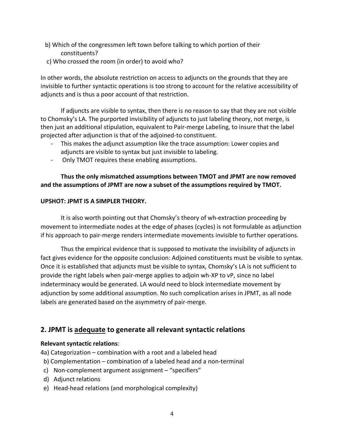- b) Which of the congressmen left town before talking to which portion of their constituents?
- c) Who crossed the room (in order) to avoid who?

In other words, the absolute restriction on access to adjuncts on the grounds that they are invisible to further syntactic operations is too strong to account for the relative accessibility of adjuncts and is thus a poor account of that restriction.

If adjuncts are visible to syntax, then there is no reason to say that they are not visible to Chomsky's LA. The purported invisibility of adjuncts to just labeling theory, not merge, is then just an additional stipulation, equivalent to Pair-merge Labeling, to insure that the label projected after adjunction is that of the adjoined-to constituent.

- This makes the adjunct assumption like the trace assumption: Lower copies and adjuncts are visible to syntax but just invisible to labeling.
- Only TMOT requires these enabling assumptions.

### **Thus the only mismatched assumptions between TMOT and JPMT are now removed and the assumptions of JPMT are now a subset of the assumptions required by TMOT.**

#### **UPSHOT: JPMT IS A SIMPLER THEORY.**

It is also worth pointing out that Chomsky's theory of wh-extraction proceeding by movement to intermediate nodes at the edge of phases (cycles) is not formulable as adjunction if his approach to pair-merge renders intermediate movements invisible to further operations.

Thus the empirical evidence that is supposed to motivate the invisibility of adjuncts in fact gives evidence for the opposite conclusion: Adjoined constituents must be visible to syntax. Once it is established that adjuncts must be visible to syntax, Chomsky's LA is not sufficient to provide the right labels when pair-merge applies to adjoin wh-XP to vP, since no label indeterminacy would be generated. LA would need to block intermediate movement by adjunction by some additional assumption. No such complication arises in JPMT, as all node labels are generated based on the asymmetry of pair-merge.

## **2. JPMT is adequate to generate all relevant syntactic relations**

#### **Relevant syntactic relations**:

4a) Categorization – combination with a root and a labeled head

- b) Complementation combination of a labeled head and a non-terminal
- c) Non-complement argument assignment "specifiers"
- d) Adjunct relations
- e) Head-head relations (and morphological complexity)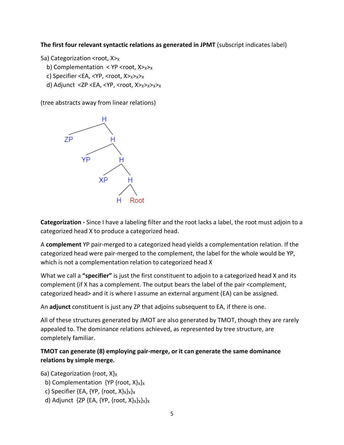**The first four relevant syntactic relations as generated in JPMT** (subscript indicates label)

5a) Categorization <root, X>x

- b) Complementation < YP < root,  $X >_{X} X$
- c) Specifier <EA, < $YP$ , <root,  $X>_{X>X>_{X}$
- d) Adjunct <ZP <EA, <YP, <root,  $X>x>x>x>x$

(tree abstracts away from linear relations)



**Categorization -** Since I have a labeling filter and the root lacks a label, the root must adjoin to a categorized head X to produce a categorized head.

A **complement** YP pair-merged to a categorized head yields a complementation relation. If the categorized head were pair-merged to the complement, the label for the whole would be YP, which is not a complementation relation to categorized head X

What we call a **"specifier"** is just the first constituent to adjoin to a categorized head X and its complement (if X has a complement. The output bears the label of the pair <complement, categorized head> and it is where I assume an external argument (EA) can be assigned.

An **adjunct** constituent is just any ZP that adjoins subsequent to EA, if there is one.

All of these structures generated by JMOT are also generated by TMOT, though they are rarely appealed to. The dominance relations achieved, as represented by tree structure, are completely familiar.

## **TMOT can generate (8) employing pair-merge, or it can generate the same dominance relations by simple merge.**

6a) Categorization {root,  $X$ }<sub>x</sub>

- b) Complementation  $\{YP\}$  (root,  $X\}_X$ )<sub>X</sub>
- c) Specifier {EA, {YP, {root,  $X\}^{\chi}$ }<sub>X</sub>
- d) Adjunct {ZP {EA, {YP, {root,  $X\}^{\chi}{}_{\chi}^{\chi}{}_{\chi}^{\chi}{}_{\chi}$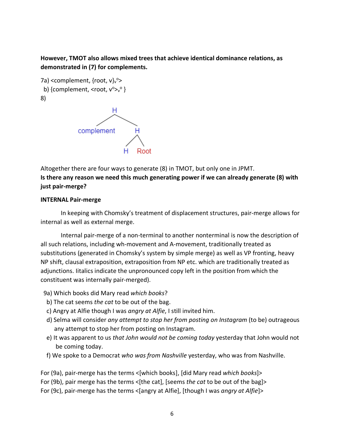**However, TMOT also allows mixed trees that achieve identical dominance relations, as demonstrated in (7) for complements.**

```
7a) <complement, \{root, v\}^{\circ}>
b) {complement, <root, v^{\circ} >v^{\circ} }
8)
```


Altogether there are four ways to generate (8) in TMOT, but only one in JPMT. **Is there any reason we need this much generating power if we can already generate (8) with just pair-merge?**

### **INTERNAL Pair-merge**

In keeping with Chomsky's treatment of displacement structures, pair-merge allows for internal as well as external merge.

Internal pair-merge of a non-terminal to another nonterminal is now the description of all such relations, including wh-movement and A-movement, traditionally treated as substitutions (generated in Chomsky's system by simple merge) as well as VP fronting, heavy NP shift, clausal extraposition, extraposition from NP etc. which are traditionally treated as adjunctions. Iitalics indicate the unpronounced copy left in the position from which the constituent was internally pair-merged).

- 9a) Which books did Mary read *which books*?
- b) The cat seems *the cat* to be out of the bag.
- c) Angry at Alfie though I was *angry at Alfie*, I still invited him.
- d) Selma will consider *any attempt to stop her from posting on Instagram* (to be) outrageous any attempt to stop her from posting on Instagram.
- e) It was apparent to us *that John would not be coming today* yesterday that John would not be coming today.
- f) We spoke to a Democrat *who was from Nashville* yesterday, who was from Nashville.

For (9a), pair-merge has the terms <[which books], [did Mary read *which books*]> For (9b), pair merge has the terms <[the cat], [seems *the cat* to be out of the bag]> For (9c), pair-merge has the terms <[angry at Alfie], [though I was *angry at Alfie*]>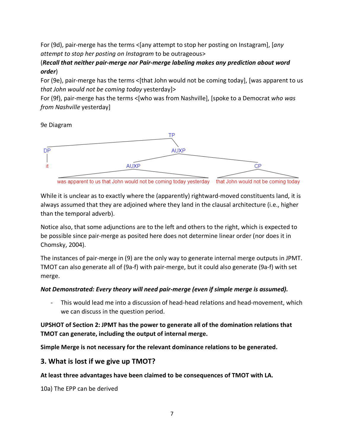For (9d), pair-merge has the terms <[any attempt to stop her posting on Instagram], [*any attempt to stop her posting on Instagram* to be outrageous>

# (*Recall that neither pair-merge nor Pair-merge labeling makes any prediction about word order*)

For (9e), pair-merge has the terms <[that John would not be coming today], [was apparent to us *that John would not be coming today* yesterday]>

For (9f), pair-merge has the terms <[who was from Nashville], [spoke to a Democrat *who was from Nashville* yesterday]

9e Diagram



was apparent to us that John would not be coming today yesterday that John would not be coming today

While it is unclear as to exactly where the (apparently) rightward-moved constituents land, it is always assumed that they are adjoined where they land in the clausal architecture (i.e., higher than the temporal adverb).

Notice also, that some adjunctions are to the left and others to the right, which is expected to be possible since pair-merge as posited here does not determine linear order (nor does it in Chomsky, 2004).

The instances of pair-merge in (9) are the only way to generate internal merge outputs in JPMT. TMOT can also generate all of (9a-f) with pair-merge, but it could also generate (9a-f) with set merge.

# *Not Demonstrated: Every theory will need pair-merge (even if simple merge is assumed).*

- This would lead me into a discussion of head-head relations and head-movement, which we can discuss in the question period.

**UPSHOT of Section 2: JPMT has the power to generate all of the domination relations that TMOT can generate, including the output of internal merge.** 

**Simple Merge is not necessary for the relevant dominance relations to be generated.**

# **3. What is lost if we give up TMOT?**

# **At least three advantages have been claimed to be consequences of TMOT with LA.**

10a) The EPP can be derived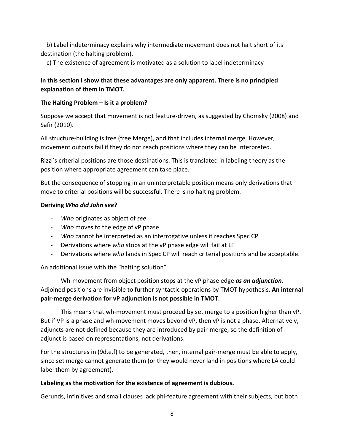b) Label indeterminacy explains why intermediate movement does not halt short of its destination (the halting problem).

c) The existence of agreement is motivated as a solution to label indeterminacy

## **In this section I show that these advantages are only apparent. There is no principled explanation of them in TMOT.**

### **The Halting Problem – Is it a problem?**

Suppose we accept that movement is not feature-driven, as suggested by Chomsky (2008) and Safir (2010).

All structure-building is free (free Merge), and that includes internal merge. However, movement outputs fail if they do not reach positions where they can be interpreted.

Rizzi's criterial positions are those destinations. This is translated in labeling theory as the position where appropriate agreement can take place.

But the consequence of stopping in an uninterpretable position means only derivations that move to criterial positions will be successful. There is no halting problem.

### **Deriving** *Who did John see***?**

- *- Who* originates as object of *see*
- *- Who* moves to the edge of vP phase
- *- Who* cannot be interpreted as an interrogative unless it reaches Spec CP
- *-* Derivations where *who* stops at the vP phase edge will fail at LF
- *-* Derivations where *who* lands in Spec CP will reach criterial positions and be acceptable.

An additional issue with the "halting solution"

Wh-movement from object position stops at the vP phase edge *as an adjunction***.**  Adjoined positions are invisible to further syntactic operations by TMOT hypothesis. **An internal pair-merge derivation for vP adjunction is not possible in TMOT.**

This means that wh-movement must proceed by set merge to a position higher than vP. But if VP is a phase and wh-movement moves beyond vP, then vP is not a phase. Alternatively, adjuncts are not defined because they are introduced by pair-merge, so the definition of adjunct is based on representations, not derivations.

For the structures in (9d,e,f) to be generated, then, internal pair-merge must be able to apply, since set merge cannot generate them (or they would never land in positions where LA could label them by agreement).

### **Labeling as the motivation for the existence of agreement is dubious.**

Gerunds, infinitives and small clauses lack phi-feature agreement with their subjects, but both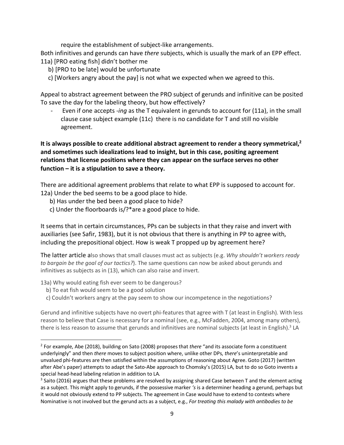require the establishment of subject-like arrangements.

Both infinitives and gerunds can have *there* subjects, which is usually the mark of an EPP effect. 11a) [PRO eating fish] didn't bother me

- b) [PRO to be late] would be unfortunate
- c) [Workers angry about the pay] is not what we expected when we agreed to this.

Appeal to abstract agreement between the PRO subject of gerunds and infinitive can be posited To save the day for the labeling theory, but how effectively?

*-* Even if one accepts -*ing* as the T equivalent in gerunds to account for (11a), in the small clause case subject example (11c) there is no candidate for T and still no visible agreement.

**It is always possible to create additional abstract agreement to render a theory symmetrical, 2 and sometimes such idealizations lead to insight, but in this case, positing agreement relations that license positions where they can appear on the surface serves no other function – it is a stipulation to save a theory.**

There are additional agreement problems that relate to what EPP is supposed to account for. 12a) Under the bed seems to be a good place to hide.

- b) Has under the bed been a good place to hide?
- c) Under the floorboards is/?\*are a good place to hide.

It seems that in certain circumstances, PPs can be subjects in that they raise and invert with auxiliaries (see Safir, 1983), but it is not obvious that there is anything in PP to agree with, including the prepositional object. How is weak T propped up by agreement here?

The latter article also shows that small clauses must act as subjects (e.g. *Why shouldn't workers ready to bargain be the goal of our tactics?*). The same questions can now be asked about gerunds and infinitives as subjects as in (13), which can also raise and invert.

13a) Why would eating fish ever seem to be dangerous?

- b) To eat fish would seem to be a good solution
- c) Couldn't workers angry at the pay seem to show our incompetence in the negotiations?

Gerund and infinitive subjects have no overt phi-features that agree with T (at least in English). With less reason to believe that Case is necessary for a nominal (see, e.g., McFadden, 2004, among many others), there is less reason to assume that gerunds and infinitives are nominal subjects (at least in English).<sup>3</sup> LA

 <sup>2</sup> For example, Abe (2018), building on Sato (2008) proposes that *there* "and its associate form a constituent underlyingly" and then *there* moves to subject position where, unlike other DPs, *there*'s uninterpretable and unvalued phi-features are then satisfied within the assumptions of reasoning about Agree. Goto (2017) (written after Abe's paper) attempts to adapt the Sato-Abe approach to Chomsky's (2015) LA, but to do so Goto invents a special head-head labeling relation in addition to LA.

 $3$  Saito (2016) argues that these problems are resolved by assigning shared Case between T and the element acting as a subject. This might apply to gerunds, if the possessive marker *'s* is a determiner heading a gerund, perhaps but it would not obviously extend to PP subjects. The agreement in Case would have to extend to contexts where Nominative is not involved but the gerund acts as a subject, e.g., *For treating this malady with antibodies to be*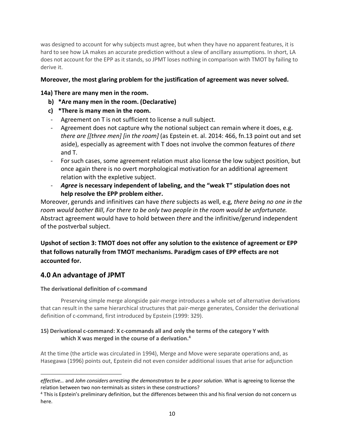was designed to account for why subjects must agree, but when they have no apparent features, it is hard to see how LA makes an accurate prediction without a slew of ancillary assumptions. In short, LA does not account for the EPP as it stands, so JPMT loses nothing in comparison with TMOT by failing to derive it.

#### **Moreover, the most glaring problem for the justification of agreement was never solved.**

#### **14a) There are many men in the room.**

- **b) \*Are many men in the room. (Declarative)**
- **c) \*There is many men in the room.**
- *-* Agreement on T is not sufficient to license a null subject.
- *-* Agreement does not capture why the notional subject can remain where it does, e.g. *there are [[three men] [in the room]* (as Epstein et. al. 2014: 466, fn.13 point out and set aside), especially as agreement with T does not involve the common features of *there*  and T.
- *-* For such cases, some agreement relation must also license the low subject position, but once again there is no overt morphological motivation for an additional agreement relation with the expletive subject.
- *- Agree* **is necessary independent of labeling, and the "weak T" stipulation does not help resolve the EPP problem either.**

Moreover, gerunds and infinitives can have *there* subjects as well, e.g, *there being no one in the room would bother Bill*, *For there to be only two people in the room would be unfortunate.*  Abstract agreement would have to hold between *there* and the infinitive/gerund independent of the postverbal subject.

**Upshot of section 3: TMOT does not offer any solution to the existence of agreement or EPP that follows naturally from TMOT mechanisms. Paradigm cases of EPP effects are not accounted for.**

# **4.0 An advantage of JPMT**

**.** 

#### **The derivational definition of c-command**

Preserving simple merge alongside pair-merge introduces a whole set of alternative derivations that can result in the same hierarchical structures that pair-merge generates, Consider the derivational definition of c-command, first introduced by Epstein (1999: 329).

#### **15) Derivational c-command: X c-commands all and only the terms of the category Y with which X was merged in the course of a derivation.4**

At the time (the article was circulated in 1994), Merge and Move were separate operations and, as Hasegawa (1996) points out, Epstein did not even consider additional issues that arise for adjunction

*effective…* and *John considers arresting the demonstrators to be a poor solution*. What is agreeing to license the relation between two non-terminals as sisters in these constructions?

<sup>4</sup> This is Epstein's preliminary definition, but the differences between this and his final version do not concern us here.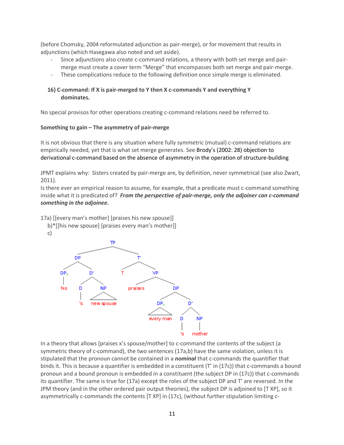(before Chomsky, 2004 reformulated adjunction as pair-merge), or for movement that results in adjunctions (which Hasegawa also noted and set aside).

- *-* Since adjunctions also create c-command relations, a theory with both set merge and pairmerge must create a cover term "Merge" that encompasses both set merge and pair-merge.
- *-* These complications reduce to the following definition once simple merge is eliminated.

#### **16) C-command: If X is pair-merged to Y then X c-commands Y and everything Y dominates.**

No special provisos for other operations creating c-command relations need be referred to.

#### **Something to gain – The asymmetry of pair-merge**

It is not obvious that there is any situation where fully symmetric (mutual) c-command relations are empirically needed, yet that is what set merge generates. See Brody's (2002: 28) objection to derivational c-command based on the absence of asymmetry in the operation of structure-building

JPMT explains why: Sisters created by pair-merge are, by definition, never symmetrical (see also Zwart, 2011).

Is there ever an empirical reason to assume, for example, that a predicate must c-command something inside what it is predicated of? *From the perspective of pair-merge, only the adjoiner can c-command something in the adjoinee.* 

17a) [[every man's mother] [praises his new spouse]]

- b)\*[[his new spouse] [praises every man's mother]]
- c)



In a theory that allows [praises x's spouse/mother] to c-command the contents of the subject (a symmetric theory of c-command), the two sentences (17a,b) have the same violation, unless it is stipulated that the pronoun cannot be contained in a *nominal* that c-commands the quantifier that binds it. This is because a quantifier is embedded in a constituent (T' in (17c)) that c-commands a bound pronoun and a bound pronoun is embedded in a constituent (the subject DP in (17c)) that c-commands its quantifier. The same is true for (17a) except the roles of the subject DP and T' are reversed. In the JPM theory (and in the other ordered pair output theories), the subject DP is adjoined to [T XP], so it asymmetrically c-commands the contents [T XP] in (17c), (without further stipulation limiting c-